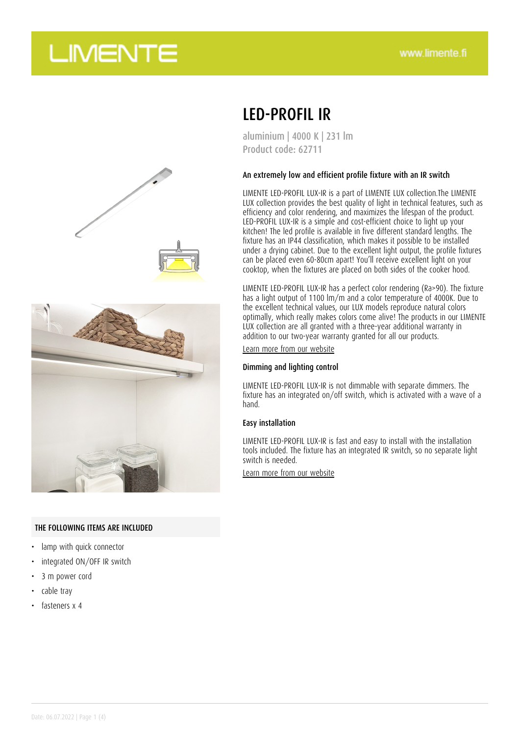## **LIMENTE**



### LED-PROFIL IR

aluminium | 4000 K | 231 lm Product code: 62711

#### An extremely low and efficient profile fixture with an IR switch

LIMENTE LED-PROFIL LUX-IR is a part of LIMENTE LUX collection.The LIMENTE LUX collection provides the best quality of light in technical features, such as efficiency and color rendering, and maximizes the lifespan of the product. LED-PROFIL LUX-IR is a simple and cost-efficient choice to light up your kitchen! The led profile is available in five different standard lengths. The fixture has an IP44 classification, which makes it possible to be installed under a drying cabinet. Due to the excellent light output, the profile fixtures can be placed even 60-80cm apart! You'll receive excellent light on your cooktop, when the fixtures are placed on both sides of the cooker hood.

LIMENTE LED-PROFIL LUX-IR has a perfect color rendering (Ra>90). The fixture has a light output of 1100 lm/m and a color temperature of 4000K. Due to the excellent technical values, our LUX models reproduce natural colors optimally, which really makes colors come alive! The products in our LIMENTE LUX collection are all granted with a three-year additional warranty in addition to our two-year warranty granted for all our products.

[Learn more from our website](https://www.limente.fi/tuotteet/62711)

#### Dimming and lighting control

LIMENTE LED-PROFIL LUX-IR is not dimmable with separate dimmers. The fixture has an integrated on/off switch, which is activated with a wave of a hand.

#### Easy installation

LIMENTE LED-PROFIL LUX-IR is fast and easy to install with the installation tools included. The fixture has an integrated IR switch, so no separate light switch is needed.

[Learn more from our website](https://www.limente.fi/tuotteet/62711)

#### THE FOLLOWING ITEMS ARE INCLUDED

- lamp with quick connector
- integrated ON/OFF IR switch
- 3 m power cord
- cable tray
- fasteners x 4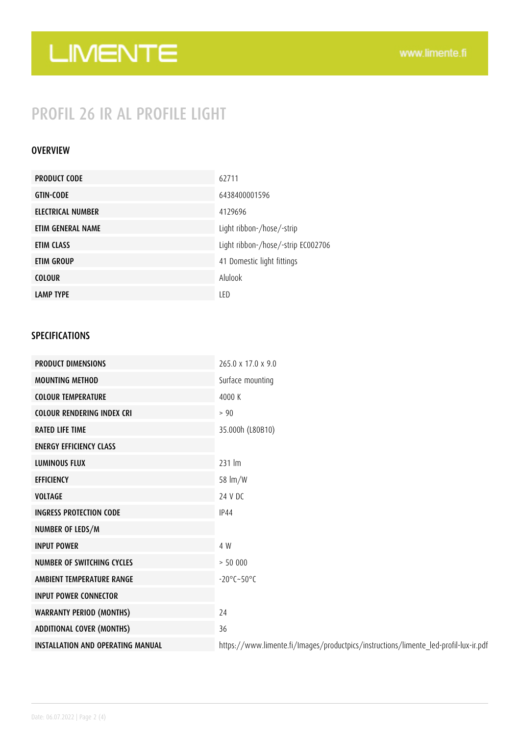# LIMENTE

### PROFIL 26 IR AL PROFILE LIGHT

### OVERVIEW

| <b>PRODUCT CODE</b> | 62711                              |
|---------------------|------------------------------------|
| <b>GTIN-CODE</b>    | 6438400001596                      |
| ELECTRICAL NUMBER   | 4129696                            |
| ETIM GENERAL NAME   | Light ribbon-/hose/-strip          |
| ETIM CLASS          | Light ribbon-/hose/-strip EC002706 |
| ETIM GROUP          | 41 Domestic light fittings         |
| <b>COLOUR</b>       | Alulook                            |
| <b>LAMP TYPE</b>    | LED                                |

### SPECIFICATIONS

| <b>PRODUCT DIMENSIONS</b>                | $265.0 \times 17.0 \times 9.0$                                                       |
|------------------------------------------|--------------------------------------------------------------------------------------|
| <b>MOUNTING METHOD</b>                   | Surface mounting                                                                     |
| <b>COLOUR TEMPERATURE</b>                | 4000 K                                                                               |
| <b>COLOUR RENDERING INDEX CRI</b>        | > 90                                                                                 |
| <b>RATED LIFE TIME</b>                   | 35.000h (L80B10)                                                                     |
| <b>ENERGY EFFICIENCY CLASS</b>           |                                                                                      |
| <b>LUMINOUS FLUX</b>                     | 231 lm                                                                               |
| <b>EFFICIENCY</b>                        | 58 lm/W                                                                              |
| <b>VOLTAGE</b>                           | 24 V DC                                                                              |
| <b>INGRESS PROTECTION CODE</b>           | <b>IP44</b>                                                                          |
| NUMBER OF LEDS/M                         |                                                                                      |
| <b>INPUT POWER</b>                       | 4 W                                                                                  |
| <b>NUMBER OF SWITCHING CYCLES</b>        | > 50000                                                                              |
| AMBIENT TEMPERATURE RANGE                | $-20^{\circ}$ C $-50^{\circ}$ C                                                      |
| <b>INPUT POWER CONNECTOR</b>             |                                                                                      |
| <b>WARRANTY PERIOD (MONTHS)</b>          | 24                                                                                   |
| <b>ADDITIONAL COVER (MONTHS)</b>         | 36                                                                                   |
| <b>INSTALLATION AND OPERATING MANUAL</b> | https://www.limente.fi/Images/productpics/instructions/limente_led-profil-lux-ir.pdf |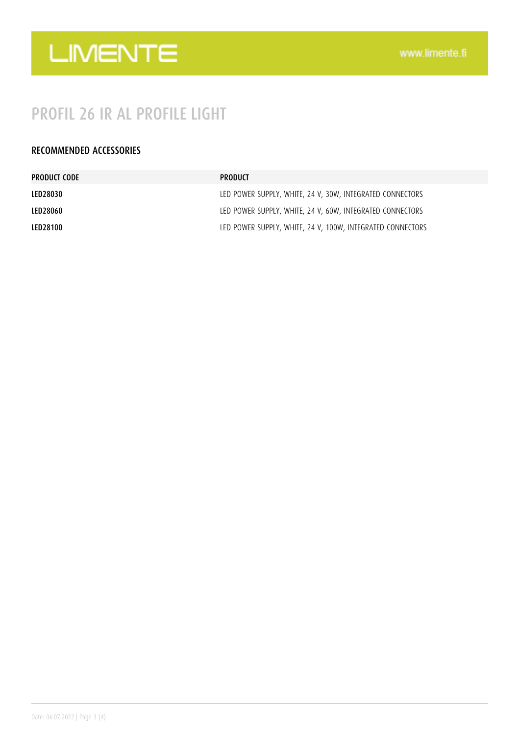

### PROFIL 26 IR AL PROFILE LIGHT

### RECOMMENDED ACCESSORIES

| PRODUCT CODE    | PRODUCT                                                    |
|-----------------|------------------------------------------------------------|
| LED28030        | LED POWER SUPPLY, WHITE, 24 V, 30W, INTEGRATED CONNECTORS  |
| LED28060        | LED POWER SUPPLY, WHITE, 24 V, 60W, INTEGRATED CONNECTORS  |
| <b>LED28100</b> | LED POWER SUPPLY, WHITE, 24 V, 100W, INTEGRATED CONNECTORS |
|                 |                                                            |